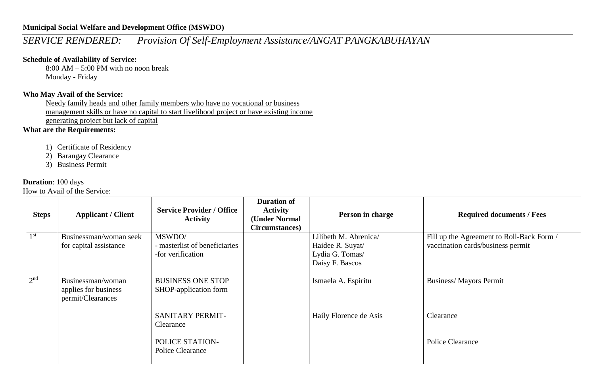## *SERVICE RENDERED: Provision Of Self-Employment Assistance/ANGAT PANGKABUHAYAN*

### **Schedule of Availability of Service:**

8:00 AM – 5:00 PM with no noon break Monday - Friday

#### **Who May Avail of the Service:**

Needy family heads and other family members who have no vocational or business management skills or have no capital to start livelihood project or have existing income generating project but lack of capital

**What are the Requirements:**

- 1) Certificate of Residency
- 2) Barangay Clearance
- 3) Business Permit

#### **Duration**: 100 days

| <b>Applicant / Client</b> | <b>Service Provider / Office</b><br><b>Activity</b> | <b>Duration of</b><br><b>Activity</b><br>(Under Normal<br>Circumstances)                 | Person in charge       | <b>Required documents / Fees</b>                       |
|---------------------------|-----------------------------------------------------|------------------------------------------------------------------------------------------|------------------------|--------------------------------------------------------|
| Businessman/woman seek    | MSWDO/                                              |                                                                                          | Lilibeth M. Abrenica/  | Fill up the Agreement to Roll-Back Form /              |
|                           |                                                     |                                                                                          |                        | vaccination cards/business permit                      |
|                           |                                                     |                                                                                          |                        |                                                        |
|                           |                                                     |                                                                                          |                        |                                                        |
| Businessman/woman         | <b>BUSINESS ONE STOP</b>                            |                                                                                          | Ismaela A. Espiritu    | <b>Business/Mayors Permit</b>                          |
| permit/Clearances         |                                                     |                                                                                          |                        |                                                        |
|                           | <b>SANITARY PERMIT-</b>                             |                                                                                          | Haily Florence de Asis | Clearance                                              |
|                           |                                                     |                                                                                          |                        |                                                        |
|                           | POLICE STATION-<br>Police Clearance                 |                                                                                          |                        | Police Clearance                                       |
|                           | for capital assistance<br>applies for business      | - masterlist of beneficiaries<br>-for verification<br>SHOP-application form<br>Clearance |                        | Haidee R. Suyat/<br>Lydia G. Tomas/<br>Daisy F. Bascos |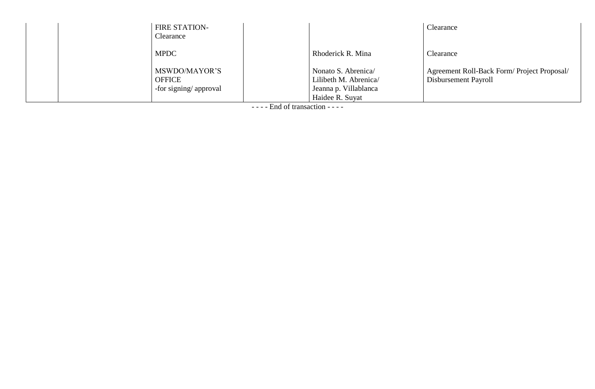| <b>FIRE STATION-</b><br>Clearance                       |                                                                                         | Clearance                                                          |
|---------------------------------------------------------|-----------------------------------------------------------------------------------------|--------------------------------------------------------------------|
| <b>MPDC</b>                                             | Rhoderick R. Mina                                                                       | Clearance                                                          |
| MSWDO/MAYOR'S<br><b>OFFICE</b><br>-for signing/approval | Nonato S. Abrenica<br>Lilibeth M. Abrenica/<br>Jeanna p. Villablanca<br>Haidee R. Suyat | Agreement Roll-Back Form/Project Proposal/<br>Disbursement Payroll |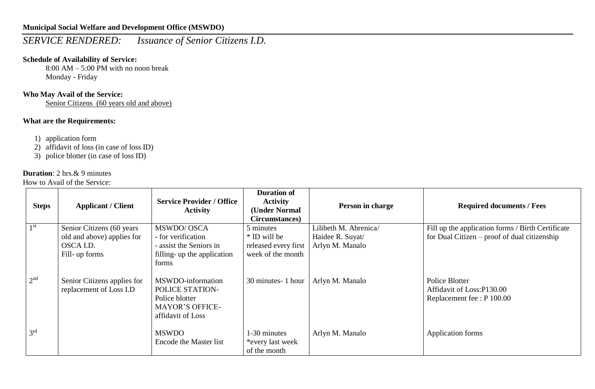# *SERVICE RENDERED: Issuance of Senior Citizens I.D.*

## **Schedule of Availability of Service:**

8:00 AM – 5:00 PM with no noon break Monday - Friday

## **Who May Avail of the Service:**

Senior Citizens (60 years old and above)

## **What are the Requirements:**

- 1) application form
- 2) affidavit of loss (in case of loss ID)
- 3) police blotter (in case of loss ID)

## **Duration**: 2 hrs.& 9 minutes

| <b>Steps</b>    | <b>Applicant / Client</b>                                 | <b>Service Provider / Office</b><br><b>Activity</b>                                                   | <b>Duration of</b><br><b>Activity</b><br>(Under Normal<br>Circumstances) | Person in charge                    | <b>Required documents / Fees</b>                                          |
|-----------------|-----------------------------------------------------------|-------------------------------------------------------------------------------------------------------|--------------------------------------------------------------------------|-------------------------------------|---------------------------------------------------------------------------|
| 1 <sup>st</sup> | Senior Citizens (60 years)                                | MSWDO/OSCA                                                                                            | 5 minutes                                                                | Lilibeth M. Abrenica/               | Fill up the application forms / Birth Certificate                         |
|                 | old and above) applies for<br>OSCA I.D.<br>Fill- up forms | - for verification<br>- assist the Seniors in<br>filling- up the application<br>forms                 | * ID will be<br>released every first<br>week of the month                | Haidee R. Suyat/<br>Arlyn M. Manalo | for Dual Citizen – proof of dual citizenship                              |
| 2 <sup>nd</sup> | Senior Citizens applies for<br>replacement of Loss I.D    | MSWDO-information<br>POLICE STATION-<br>Police blotter<br><b>MAYOR'S OFFICE-</b><br>affidavit of Loss | 30 minutes- 1 hour                                                       | Arlyn M. Manalo                     | Police Blotter<br>Affidavit of Loss:P130.00<br>Replacement fee : P 100.00 |
| 3 <sup>rd</sup> |                                                           | <b>MSWDO</b><br>Encode the Master list                                                                | 1-30 minutes<br>*every last week<br>of the month                         | Arlyn M. Manalo                     | Application forms                                                         |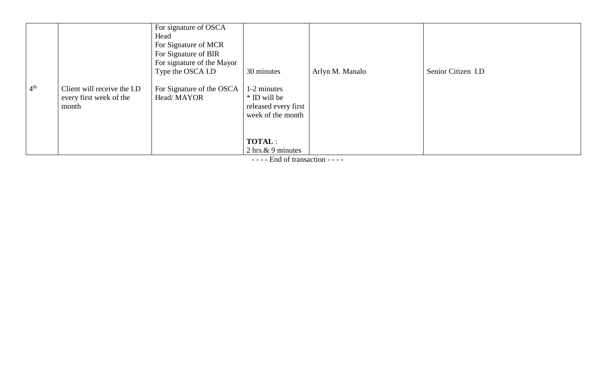| 4 <sup>th</sup> | Client will receive the I.D<br>every first week of the<br>month | For signature of OSCA<br>Head<br>For Signature of MCR<br>For Signature of BIR<br>For signature of the Mayor<br>Type the OSCA I.D<br>For Signature of the OSCA<br>Head/MAYOR | 30 minutes<br>1-2 minutes<br>* ID will be<br>released every first<br>week of the month | Arlyn M. Manalo | Senior Citizen I.D |
|-----------------|-----------------------------------------------------------------|-----------------------------------------------------------------------------------------------------------------------------------------------------------------------------|----------------------------------------------------------------------------------------|-----------------|--------------------|
|                 |                                                                 |                                                                                                                                                                             | <b>TOTAL:</b><br>2 hrs. $& 9$ minutes                                                  |                 |                    |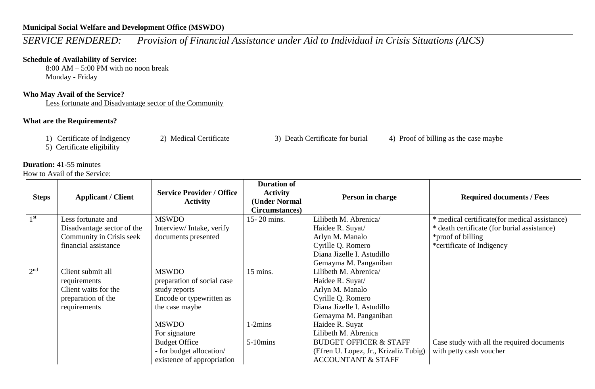# *SERVICE RENDERED: Provision of Financial Assistance under Aid to Individual in Crisis Situations (AICS)*

#### **Schedule of Availability of Service:**

8:00 AM – 5:00 PM with no noon break Monday - Friday

#### **Who May Avail of the Service?**

Less fortunate and Disadvantage sector of the Community

#### **What are the Requirements?**

- 
- 
- 
- 1) Certificate of Indigency 2) Medical Certificate 3) Death Certificate for burial 4) Proof of billing as the case maybe

5) Certificate eligibility

#### **Duration:** 41-55 minutes

| <b>Steps</b>    | <b>Applicant / Client</b>  | <b>Service Provider / Office</b><br><b>Activity</b> | <b>Duration of</b><br><b>Activity</b><br>(Under Normal<br>Circumstances) | Person in charge                      | <b>Required documents / Fees</b>              |
|-----------------|----------------------------|-----------------------------------------------------|--------------------------------------------------------------------------|---------------------------------------|-----------------------------------------------|
| 1 <sup>st</sup> | Less fortunate and         | <b>MSWDO</b>                                        | 15-20 mins.                                                              | Lilibeth M. Abrenica/                 | * medical certificate(for medical assistance) |
|                 | Disadvantage sector of the | Interview/Intake, verify                            |                                                                          | Haidee R. Suyat/                      | * death certificate (for burial assistance)   |
|                 | Community in Crisis seek   | documents presented                                 |                                                                          | Arlyn M. Manalo                       | *proof of billing                             |
|                 | financial assistance       |                                                     |                                                                          | Cyrille Q. Romero                     | *certificate of Indigency                     |
|                 |                            |                                                     |                                                                          | Diana Jizelle I. Astudillo            |                                               |
|                 |                            |                                                     |                                                                          | Gemayma M. Panganiban                 |                                               |
| 2 <sup>nd</sup> | Client submit all          | <b>MSWDO</b>                                        | 15 mins.                                                                 | Lilibeth M. Abrenica/                 |                                               |
|                 | requirements               | preparation of social case                          |                                                                          | Haidee R. Suyat/                      |                                               |
|                 | Client waits for the       | study reports                                       |                                                                          | Arlyn M. Manalo                       |                                               |
|                 | preparation of the         | Encode or typewritten as                            |                                                                          | Cyrille Q. Romero                     |                                               |
|                 | requirements               | the case maybe                                      |                                                                          | Diana Jizelle I. Astudillo            |                                               |
|                 |                            |                                                     |                                                                          | Gemayma M. Panganiban                 |                                               |
|                 |                            | <b>MSWDO</b>                                        | $1-2mins$                                                                | Haidee R. Suyat                       |                                               |
|                 |                            | For signature                                       |                                                                          | Lilibeth M. Abrenica                  |                                               |
|                 |                            | <b>Budget Office</b>                                | $5-10$ mins                                                              | <b>BUDGET OFFICER &amp; STAFF</b>     | Case study with all the required documents    |
|                 |                            | - for budget allocation/                            |                                                                          | (Efren U. Lopez, Jr., Krizaliz Tubig) | with petty cash voucher                       |
|                 |                            | existence of appropriation                          |                                                                          | <b>ACCOUNTANT &amp; STAFF</b>         |                                               |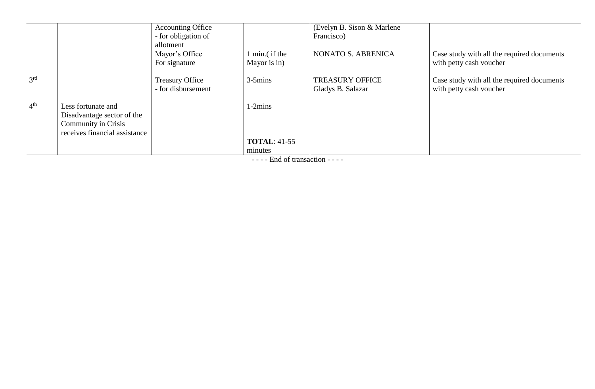|                 |                               | <b>Accounting Office</b> |                     | (Evelyn B. Sison & Marlene) |                                            |
|-----------------|-------------------------------|--------------------------|---------------------|-----------------------------|--------------------------------------------|
|                 |                               | - for obligation of      |                     | Francisco)                  |                                            |
|                 |                               | allotment                |                     |                             |                                            |
|                 |                               | Mayor's Office           | min.(if the         | NONATO S. ABRENICA          | Case study with all the required documents |
|                 |                               | For signature            | Mayor is in)        |                             | with petty cash voucher                    |
| 3 <sup>rd</sup> |                               | <b>Treasury Office</b>   | $3-5$ mins          | <b>TREASURY OFFICE</b>      | Case study with all the required documents |
|                 |                               | - for disbursement       |                     | Gladys B. Salazar           | with petty cash voucher                    |
| 4 <sup>th</sup> | Less fortunate and            |                          | $1-2mins$           |                             |                                            |
|                 | Disadvantage sector of the    |                          |                     |                             |                                            |
|                 | <b>Community in Crisis</b>    |                          |                     |                             |                                            |
|                 | receives financial assistance |                          |                     |                             |                                            |
|                 |                               |                          | <b>TOTAL: 41-55</b> |                             |                                            |
|                 |                               |                          | minutes             |                             |                                            |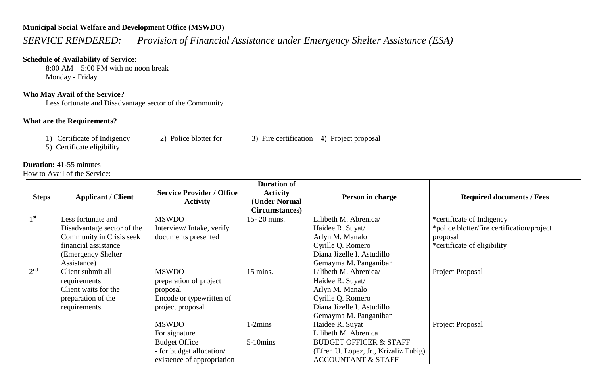## *SERVICE RENDERED: Provision of Financial Assistance under Emergency Shelter Assistance (ESA)*

#### **Schedule of Availability of Service:**

8:00 AM – 5:00 PM with no noon break Monday - Friday

#### **Who May Avail of the Service?**

Less fortunate and Disadvantage sector of the Community

### **What are the Requirements?**

1) Certificate of Indigency 2) Police blotter for 3) Fire certification 4) Project proposal

5) Certificate eligibility

#### **Duration:** 41-55 minutes

| <b>Steps</b>    | <b>Applicant / Client</b>  | <b>Service Provider / Office</b><br><b>Activity</b> | <b>Duration of</b><br><b>Activity</b><br>(Under Normal<br>Circumstances) | Person in charge                      | <b>Required documents / Fees</b>           |
|-----------------|----------------------------|-----------------------------------------------------|--------------------------------------------------------------------------|---------------------------------------|--------------------------------------------|
| 1 <sup>st</sup> | Less fortunate and         | <b>MSWDO</b>                                        | 15-20 mins.                                                              | Lilibeth M. Abrenica/                 | *certificate of Indigency                  |
|                 | Disadvantage sector of the | Interview/Intake, verify                            |                                                                          | Haidee R. Suyat/                      | *police blotter/fire certification/project |
|                 | Community in Crisis seek   | documents presented                                 |                                                                          | Arlyn M. Manalo                       | proposal                                   |
|                 | financial assistance       |                                                     |                                                                          | Cyrille Q. Romero                     | *certificate of eligibility                |
|                 | (Emergency Shelter)        |                                                     |                                                                          | Diana Jizelle I. Astudillo            |                                            |
|                 | Assistance)                |                                                     |                                                                          | Gemayma M. Panganiban                 |                                            |
| 2 <sup>nd</sup> | Client submit all          | <b>MSWDO</b>                                        | 15 mins.                                                                 | Lilibeth M. Abrenica/                 | Project Proposal                           |
|                 | requirements               | preparation of project                              |                                                                          | Haidee R. Suyat/                      |                                            |
|                 | Client waits for the       | proposal                                            |                                                                          | Arlyn M. Manalo                       |                                            |
|                 | preparation of the         | Encode or typewritten of                            |                                                                          | Cyrille Q. Romero                     |                                            |
|                 | requirements               | project proposal                                    |                                                                          | Diana Jizelle I. Astudillo            |                                            |
|                 |                            |                                                     |                                                                          | Gemayma M. Panganiban                 |                                            |
|                 |                            | <b>MSWDO</b>                                        | $1-2mins$                                                                | Haidee R. Suyat                       | Project Proposal                           |
|                 |                            | For signature                                       |                                                                          | Lilibeth M. Abrenica                  |                                            |
|                 |                            | <b>Budget Office</b>                                | $5-10$ mins                                                              | <b>BUDGET OFFICER &amp; STAFF</b>     |                                            |
|                 |                            | - for budget allocation/                            |                                                                          | (Efren U. Lopez, Jr., Krizaliz Tubig) |                                            |
|                 |                            | existence of appropriation                          |                                                                          | <b>ACCOUNTANT &amp; STAFF</b>         |                                            |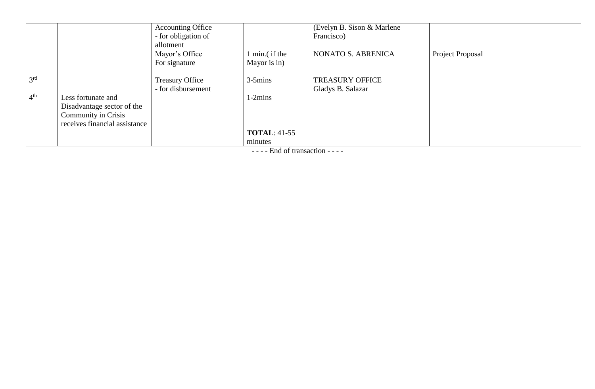|                 |                               | <b>Accounting Office</b> |                     | (Evelyn B. Sison & Marlene) |                  |
|-----------------|-------------------------------|--------------------------|---------------------|-----------------------------|------------------|
|                 |                               | - for obligation of      |                     | Francisco)                  |                  |
|                 |                               | allotment                |                     |                             |                  |
|                 |                               | Mayor's Office           | min.(if the         | NONATO S. ABRENICA          | Project Proposal |
|                 |                               | For signature            | Mayor is in)        |                             |                  |
| 3 <sup>rd</sup> |                               | <b>Treasury Office</b>   | $3-5$ mins          | <b>TREASURY OFFICE</b>      |                  |
|                 |                               | - for disbursement       |                     | Gladys B. Salazar           |                  |
| 4 <sup>th</sup> | Less fortunate and            |                          | $1-2mins$           |                             |                  |
|                 | Disadvantage sector of the    |                          |                     |                             |                  |
|                 | Community in Crisis           |                          |                     |                             |                  |
|                 | receives financial assistance |                          |                     |                             |                  |
|                 |                               |                          | <b>TOTAL: 41-55</b> |                             |                  |
|                 |                               |                          | minutes             |                             |                  |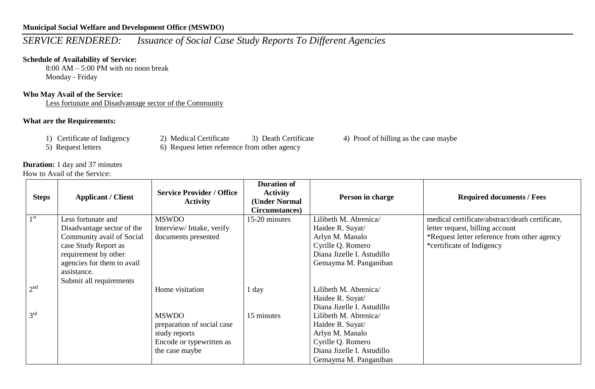# *SERVICE RENDERED: Issuance of Social Case Study Reports To Different Agencies*

### **Schedule of Availability of Service:**

8:00 AM – 5:00 PM with no noon break Monday - Friday

#### **Who May Avail of the Service:**

Less fortunate and Disadvantage sector of the Community

#### **What are the Requirements:**

- 
- 
- 

- 5) Request letters 6) Request letter reference from other agency
- 1) Certificate of Indigency 2) Medical Certificate 3) Death Certificate 4) Proof of billing as the case maybe

**Duration:** 1 day and 37 minutes How to Avail of the Service:

| <b>Steps</b>    | <b>Applicant / Client</b>  | <b>Service Provider / Office</b><br><b>Activity</b> | <b>Duration of</b><br><b>Activity</b><br>(Under Normal<br>Circumstances) | Person in charge           | <b>Required documents / Fees</b>                |
|-----------------|----------------------------|-----------------------------------------------------|--------------------------------------------------------------------------|----------------------------|-------------------------------------------------|
| 1 <sup>st</sup> | Less fortunate and         | <b>MSWDO</b>                                        | 15-20 minutes                                                            | Lilibeth M. Abrenica/      | medical certificate/abstract/death certificate, |
|                 | Disadvantage sector of the | Interview/Intake, verify                            |                                                                          | Haidee R. Suyat/           | letter request, billing account                 |
|                 | Community avail of Social  | documents presented                                 |                                                                          | Arlyn M. Manalo            | *Request letter reference from other agency     |
|                 | case Study Report as       |                                                     |                                                                          | Cyrille Q. Romero          | *certificate of Indigency                       |
|                 | requirement by other       |                                                     |                                                                          | Diana Jizelle I. Astudillo |                                                 |
|                 | agencies for them to avail |                                                     |                                                                          | Gemayma M. Panganiban      |                                                 |
|                 | assistance.                |                                                     |                                                                          |                            |                                                 |
|                 | Submit all requirements    |                                                     |                                                                          |                            |                                                 |
| 2 <sup>nd</sup> |                            | Home visitation                                     | $1$ day                                                                  | Lilibeth M. Abrenica/      |                                                 |
|                 |                            |                                                     |                                                                          | Haidee R. Suyat/           |                                                 |
|                 |                            |                                                     |                                                                          | Diana Jizelle I. Astudillo |                                                 |
| 3 <sup>rd</sup> |                            | <b>MSWDO</b>                                        | 15 minutes                                                               | Lilibeth M. Abrenica/      |                                                 |
|                 |                            | preparation of social case                          |                                                                          | Haidee R. Suyat/           |                                                 |
|                 |                            | study reports                                       |                                                                          | Arlyn M. Manalo            |                                                 |
|                 |                            | Encode or typewritten as                            |                                                                          | Cyrille Q. Romero          |                                                 |
|                 |                            | the case maybe                                      |                                                                          | Diana Jizelle I. Astudillo |                                                 |
|                 |                            |                                                     |                                                                          | Gemayma M. Panganiban      |                                                 |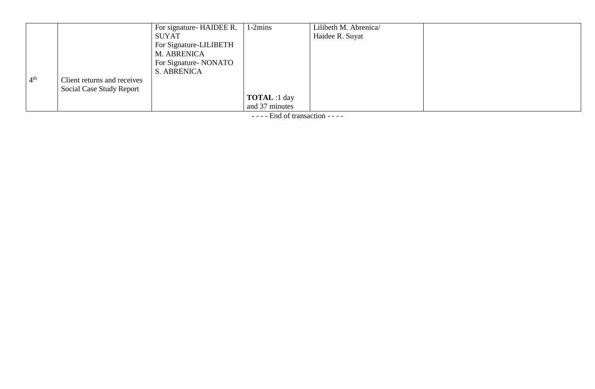|                 |                                 | For signature- HAIDEE R. | $1-2mins$           | Lilibeth M. Abrenica/ |  |
|-----------------|---------------------------------|--------------------------|---------------------|-----------------------|--|
|                 |                                 | SUYAT                    |                     | Haidee R. Suyat       |  |
|                 |                                 | For Signature-LILIBETH   |                     |                       |  |
|                 |                                 | M. ABRENICA              |                     |                       |  |
|                 |                                 | For Signature-NONATO     |                     |                       |  |
|                 |                                 | S. ABRENICA              |                     |                       |  |
| 4 <sup>th</sup> | Client returns and receives     |                          |                     |                       |  |
|                 | <b>Social Case Study Report</b> |                          |                     |                       |  |
|                 |                                 |                          | <b>TOTAL</b> :1 day |                       |  |
|                 |                                 |                          | and 37 minutes      |                       |  |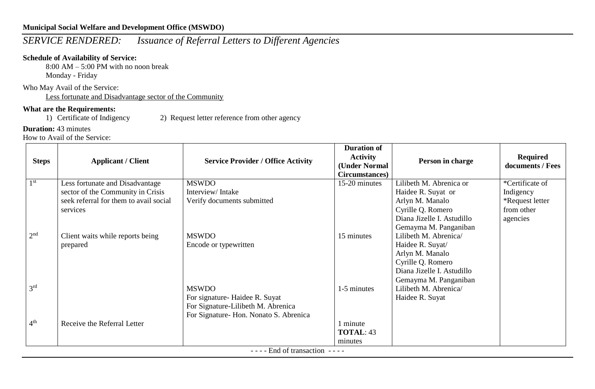# *SERVICE RENDERED: Issuance of Referral Letters to Different Agencies*

## **Schedule of Availability of Service:**

8:00 AM – 5:00 PM with no noon break Monday - Friday

Who May Avail of the Service:

Less fortunate and Disadvantage sector of the Community

## **What are the Requirements:**

1) Certificate of Indigency 2) Request letter reference from other agency

## **Duration:** 43 minutes

How to Avail of the Service:

| <b>Steps</b>    | <b>Applicant / Client</b>              | <b>Service Provider / Office Activity</b> | <b>Duration of</b><br><b>Activity</b><br>(Under Normal<br>Circumstances) | Person in charge           | <b>Required</b><br>documents / Fees |
|-----------------|----------------------------------------|-------------------------------------------|--------------------------------------------------------------------------|----------------------------|-------------------------------------|
| 1 <sup>st</sup> | Less fortunate and Disadvantage        | <b>MSWDO</b>                              | 15-20 minutes                                                            | Lilibeth M. Abrenica or    | *Certificate of                     |
|                 | sector of the Community in Crisis      | Interview/Intake                          |                                                                          | Haidee R. Suyat or         | Indigency                           |
|                 | seek referral for them to avail social | Verify documents submitted                |                                                                          | Arlyn M. Manalo            | *Request letter                     |
|                 | services                               |                                           |                                                                          | Cyrille Q. Romero          | from other                          |
|                 |                                        |                                           |                                                                          | Diana Jizelle I. Astudillo | agencies                            |
|                 |                                        |                                           |                                                                          | Gemayma M. Panganiban      |                                     |
| 2 <sup>nd</sup> | Client waits while reports being       | <b>MSWDO</b>                              | 15 minutes                                                               | Lilibeth M. Abrenica/      |                                     |
|                 | prepared                               | Encode or typewritten                     |                                                                          | Haidee R. Suyat/           |                                     |
|                 |                                        |                                           |                                                                          | Arlyn M. Manalo            |                                     |
|                 |                                        |                                           |                                                                          | Cyrille Q. Romero          |                                     |
|                 |                                        |                                           |                                                                          | Diana Jizelle I. Astudillo |                                     |
|                 |                                        |                                           |                                                                          | Gemayma M. Panganiban      |                                     |
| 3 <sup>rd</sup> |                                        | <b>MSWDO</b>                              | 1-5 minutes                                                              | Lilibeth M. Abrenica/      |                                     |
|                 |                                        | For signature-Haidee R. Suyat             |                                                                          | Haidee R. Suyat            |                                     |
|                 |                                        | For Signature-Lilibeth M. Abrenica        |                                                                          |                            |                                     |
|                 |                                        | For Signature-Hon. Nonato S. Abrenica     |                                                                          |                            |                                     |
| 4 <sup>th</sup> | Receive the Referral Letter            |                                           | 1 minute                                                                 |                            |                                     |
|                 |                                        |                                           | <b>TOTAL: 43</b>                                                         |                            |                                     |
|                 |                                        | $\Gamma$ nd of trongootion                | minutes                                                                  |                            |                                     |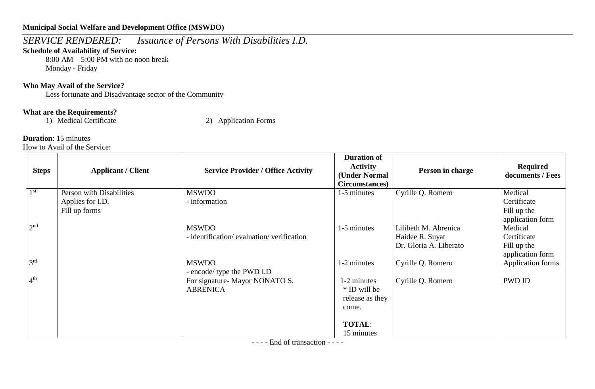*SERVICE RENDERED: Issuance of Persons With Disabilities I.D.*

### **Schedule of Availability of Service:**

8:00 AM – 5:00 PM with no noon break Monday - Friday

## **Who May Avail of the Service?**

Less fortunate and Disadvantage sector of the Community

## **What are the Requirements?**

1) Medical Certificate 2) Application Forms

#### **Duration**: 15 minutes

How to Avail of the Service:

| <b>Steps</b>    | <b>Applicant / Client</b> | <b>Service Provider / Office Activity</b>  | <b>Duration of</b><br><b>Activity</b><br>(Under Normal<br>Circumstances) | Person in charge       | Required<br>documents / Fees    |
|-----------------|---------------------------|--------------------------------------------|--------------------------------------------------------------------------|------------------------|---------------------------------|
| 1 <sup>st</sup> | Person with Disabilities  | <b>MSWDO</b>                               | 1-5 minutes                                                              | Cyrille Q. Romero      | Medical                         |
|                 | Applies for I.D.          | - information                              |                                                                          |                        | Certificate                     |
|                 | Fill up forms             |                                            |                                                                          |                        | Fill up the<br>application form |
| 2 <sup>nd</sup> |                           | <b>MSWDO</b>                               | 1-5 minutes                                                              | Lilibeth M. Abrenica   | Medical                         |
|                 |                           | - identification/evaluation/verification   |                                                                          | Haidee R. Suyat        | Certificate                     |
|                 |                           |                                            |                                                                          | Dr. Gloria A. Liberato | Fill up the                     |
|                 |                           |                                            |                                                                          |                        | application form                |
| 3 <sup>rd</sup> |                           | <b>MSWDO</b><br>- encode/ type the PWD I.D | 1-2 minutes                                                              | Cyrille Q. Romero      | Application forms               |
| 4 <sup>th</sup> |                           | For signature- Mayor NONATO S.             | 1-2 minutes                                                              | Cyrille Q. Romero      | PWD ID                          |
|                 |                           | <b>ABRENICA</b>                            | * ID will be<br>release as they                                          |                        |                                 |
|                 |                           |                                            | come.                                                                    |                        |                                 |
|                 |                           |                                            |                                                                          |                        |                                 |
|                 |                           |                                            | <b>TOTAL:</b>                                                            |                        |                                 |
|                 |                           |                                            | 15 minutes                                                               |                        |                                 |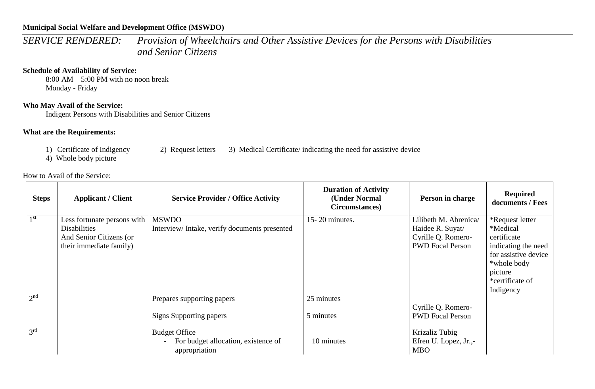*SERVICE RENDERED: Provision of Wheelchairs and Other Assistive Devices for the Persons with Disabilities and Senior Citizens*

#### **Schedule of Availability of Service:**

8:00 AM – 5:00 PM with no noon break Monday - Friday

### **Who May Avail of the Service:**

Indigent Persons with Disabilities and Senior Citizens

#### **What are the Requirements:**

4) Whole body picture

#### How to Avail of the Service:

| <b>Steps</b>    | <b>Applicant / Client</b>   | <b>Service Provider / Office Activity</b>            | <b>Duration of Activity</b><br>(Under Normal<br>Circumstances) | Person in charge                    | <b>Required</b><br>documents / Fees |
|-----------------|-----------------------------|------------------------------------------------------|----------------------------------------------------------------|-------------------------------------|-------------------------------------|
| 1 <sup>st</sup> | Less fortunate persons with | <b>MSWDO</b>                                         | 15-20 minutes.                                                 | Lilibeth M. Abrenica/               | *Request letter                     |
|                 | <b>Disabilities</b>         | Interview/Intake, verify documents presented         |                                                                | Haidee R. Suyat/                    | *Medical                            |
|                 | And Senior Citizens (or     |                                                      |                                                                | Cyrille Q. Romero-                  | certificate                         |
|                 | their immediate family)     |                                                      |                                                                | <b>PWD</b> Focal Person             | indicating the need                 |
|                 |                             |                                                      |                                                                |                                     | for assistive device                |
|                 |                             |                                                      |                                                                |                                     | *whole body                         |
|                 |                             |                                                      |                                                                |                                     | picture<br>*certificate of          |
|                 |                             |                                                      |                                                                |                                     | Indigency                           |
| 2 <sup>nd</sup> |                             | Prepares supporting papers                           | 25 minutes                                                     |                                     |                                     |
|                 |                             |                                                      |                                                                | Cyrille Q. Romero-                  |                                     |
|                 |                             | Signs Supporting papers                              | 5 minutes                                                      | <b>PWD</b> Focal Person             |                                     |
|                 |                             |                                                      |                                                                |                                     |                                     |
| 3 <sup>rd</sup> |                             | <b>Budget Office</b>                                 |                                                                | Krizaliz Tubig                      |                                     |
|                 |                             | For budget allocation, existence of<br>appropriation | 10 minutes                                                     | Efren U. Lopez, Jr.,-<br><b>MBO</b> |                                     |

1) Certificate of Indigency 2) Request letters 3) Medical Certificate/ indicating the need for assistive device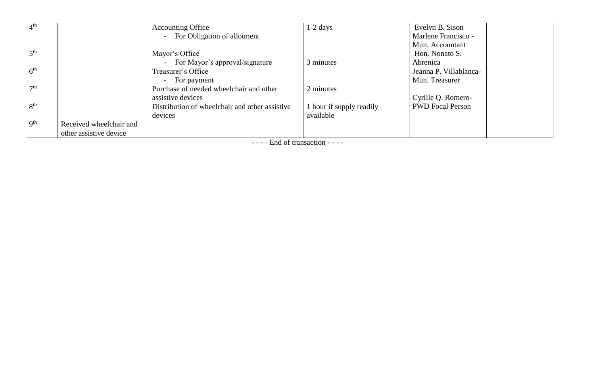| 4 <sup>th</sup> |                         | <b>Accounting Office</b>                       | $1-2$ days             | Evelyn B. Sison         |
|-----------------|-------------------------|------------------------------------------------|------------------------|-------------------------|
|                 |                         | - For Obligation of allotment                  |                        | Marlene Francisco -     |
|                 |                         |                                                |                        | Mun. Accountant         |
| 5 <sup>th</sup> |                         | Mayor's Office                                 |                        | Hon. Nonato S.          |
|                 |                         | - For Mayor's approval/signature               | 3 minutes              | Abrenica                |
| 6 <sup>th</sup> |                         | Treasurer's Office                             |                        | Jeanna P. Villablanca-  |
|                 |                         | For payment                                    |                        | Mun. Treasurer          |
| 7 <sup>th</sup> |                         | Purchase of needed wheelchair and other        | 2 minutes              |                         |
|                 |                         | assistive devices                              |                        | Cyrille Q. Romero-      |
| 8 <sup>th</sup> |                         | Distribution of wheelchair and other assistive | hour if supply readily | <b>PWD</b> Focal Person |
|                 |                         | devices                                        | available              |                         |
| 9 <sup>th</sup> | Received wheelchair and |                                                |                        |                         |
|                 | other assistive device  |                                                |                        |                         |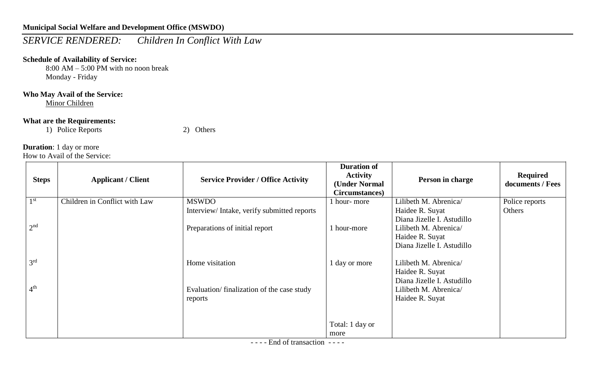# *SERVICE RENDERED: Children In Conflict With Law*

## **Schedule of Availability of Service:**

8:00 AM – 5:00 PM with no noon break Monday - Friday

## **Who May Avail of the Service:**

Minor Children

#### **What are the Requirements:**

1) Police Reports 2) Others

### **Duration**: 1 day or more

How to Avail of the Service:

| <b>Steps</b>    | <b>Applicant / Client</b>     | <b>Service Provider / Office Activity</b>  | <b>Duration of</b><br><b>Activity</b><br>(Under Normal<br>Circumstances) | Person in charge                                    | <b>Required</b><br>documents / Fees |
|-----------------|-------------------------------|--------------------------------------------|--------------------------------------------------------------------------|-----------------------------------------------------|-------------------------------------|
| 1 <sup>st</sup> | Children in Conflict with Law | <b>MSWDO</b>                               | 1 hour-more                                                              | Lilibeth M. Abrenica/                               | Police reports                      |
|                 |                               | Interview/Intake, verify submitted reports |                                                                          | Haidee R. Suyat<br>Diana Jizelle I. Astudillo       | Others                              |
| 2 <sup>nd</sup> |                               | Preparations of initial report             | 1 hour-more                                                              | Lilibeth M. Abrenica/                               |                                     |
|                 |                               |                                            |                                                                          | Haidee R. Suyat<br>Diana Jizelle I. Astudillo       |                                     |
|                 |                               |                                            |                                                                          |                                                     |                                     |
| 3 <sup>rd</sup> |                               | Home visitation                            | 1 day or more                                                            | Lilibeth M. Abrenica/                               |                                     |
|                 |                               |                                            |                                                                          | Haidee R. Suyat                                     |                                     |
| 4 <sup>th</sup> |                               | Evaluation/finalization of the case study  |                                                                          | Diana Jizelle I. Astudillo<br>Lilibeth M. Abrenica/ |                                     |
|                 |                               | reports                                    |                                                                          | Haidee R. Suyat                                     |                                     |
|                 |                               |                                            |                                                                          |                                                     |                                     |
|                 |                               |                                            |                                                                          |                                                     |                                     |
|                 |                               |                                            | Total: 1 day or                                                          |                                                     |                                     |
|                 |                               |                                            | more                                                                     |                                                     |                                     |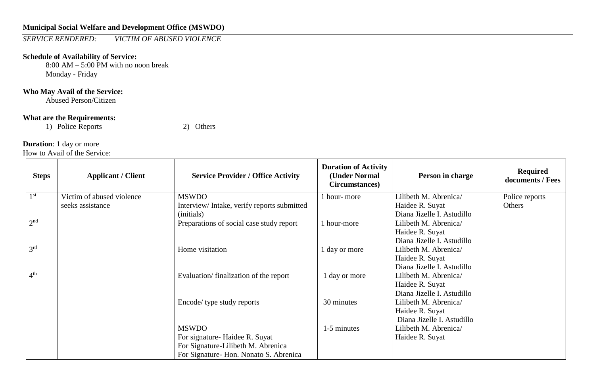*SERVICE RENDERED: VICTIM OF ABUSED VIOLENCE*

#### **Schedule of Availability of Service:**

8:00 AM – 5:00 PM with no noon break Monday - Friday

## **Who May Avail of the Service:**

Abused Person/Citizen

### **What are the Requirements:**

1) Police Reports 2) Others

## **Duration**: 1 day or more

| <b>Steps</b>    | <b>Applicant / Client</b> | <b>Service Provider / Office Activity</b>  | <b>Duration of Activity</b><br>(Under Normal<br>Circumstances) | Person in charge           | <b>Required</b><br>documents / Fees |
|-----------------|---------------------------|--------------------------------------------|----------------------------------------------------------------|----------------------------|-------------------------------------|
| 1 <sup>st</sup> | Victim of abused violence | <b>MSWDO</b>                               | 1 hour-more                                                    | Lilibeth M. Abrenica/      | Police reports                      |
|                 | seeks assistance          | Interview/Intake, verify reports submitted |                                                                | Haidee R. Suyat            | Others                              |
|                 |                           | (initials)                                 |                                                                | Diana Jizelle I. Astudillo |                                     |
| 2 <sup>nd</sup> |                           | Preparations of social case study report   | 1 hour-more                                                    | Lilibeth M. Abrenica/      |                                     |
|                 |                           |                                            |                                                                | Haidee R. Suyat            |                                     |
|                 |                           |                                            |                                                                | Diana Jizelle I. Astudillo |                                     |
| 3 <sup>rd</sup> |                           | Home visitation                            | 1 day or more                                                  | Lilibeth M. Abrenica/      |                                     |
|                 |                           |                                            |                                                                | Haidee R. Suyat            |                                     |
|                 |                           |                                            |                                                                | Diana Jizelle I. Astudillo |                                     |
| 4 <sup>th</sup> |                           | Evaluation/finalization of the report      | 1 day or more                                                  | Lilibeth M. Abrenica/      |                                     |
|                 |                           |                                            |                                                                | Haidee R. Suyat            |                                     |
|                 |                           |                                            |                                                                | Diana Jizelle I. Astudillo |                                     |
|                 |                           | Encode/ type study reports                 | 30 minutes                                                     | Lilibeth M. Abrenica/      |                                     |
|                 |                           |                                            |                                                                | Haidee R. Suyat            |                                     |
|                 |                           |                                            |                                                                | Diana Jizelle I. Astudillo |                                     |
|                 |                           | <b>MSWDO</b>                               | 1-5 minutes                                                    | Lilibeth M. Abrenica/      |                                     |
|                 |                           | For signature-Haidee R. Suyat              |                                                                | Haidee R. Suyat            |                                     |
|                 |                           | For Signature-Lilibeth M. Abrenica         |                                                                |                            |                                     |
|                 |                           | For Signature-Hon. Nonato S. Abrenica      |                                                                |                            |                                     |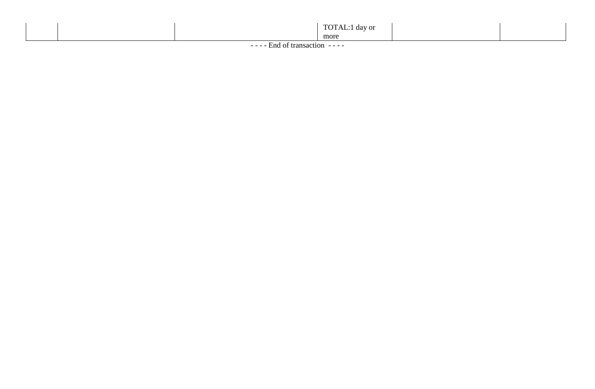|                  | TOT<br>day or |  |  |  |
|------------------|---------------|--|--|--|
|                  | more          |  |  |  |
| $\sim$<br>$\sim$ |               |  |  |  |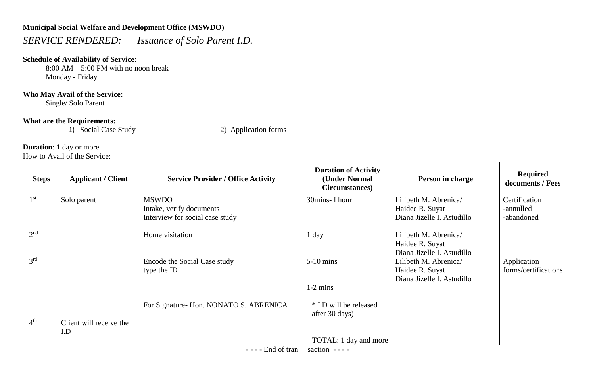# *SERVICE RENDERED: Issuance of Solo Parent I.D.*

## **Schedule of Availability of Service:**

8:00 AM – 5:00 PM with no noon break Monday - Friday

### **Who May Avail of the Service:**

Single/ Solo Parent

#### **What are the Requirements:**

1) Social Case Study 2) Application forms

## **Duration**: 1 day or more

How to Avail of the Service:

| <b>Steps</b>    | <b>Applicant / Client</b> | <b>Service Provider / Office Activity</b>   | <b>Duration of Activity</b><br>(Under Normal<br>Circumstances) | Person in charge                                                                                     | <b>Required</b><br>documents / Fees |
|-----------------|---------------------------|---------------------------------------------|----------------------------------------------------------------|------------------------------------------------------------------------------------------------------|-------------------------------------|
| 1 <sup>st</sup> | Solo parent               | <b>MSWDO</b>                                | 30mins- I hour                                                 | Lilibeth M. Abrenica/                                                                                | Certification                       |
|                 |                           | Intake, verify documents                    |                                                                | Haidee R. Suyat                                                                                      | -annulled                           |
|                 |                           | Interview for social case study             |                                                                | Diana Jizelle I. Astudillo                                                                           | -abandoned                          |
| 2 <sup>nd</sup> |                           | Home visitation                             | 1 day                                                          | Lilibeth M. Abrenica/<br>Haidee R. Suyat                                                             |                                     |
| 3 <sup>rd</sup> |                           | Encode the Social Case study<br>type the ID | $5-10$ mins                                                    | Diana Jizelle I. Astudillo<br>Lilibeth M. Abrenica/<br>Haidee R. Suyat<br>Diana Jizelle I. Astudillo | Application<br>forms/certifications |
|                 |                           |                                             | $1-2$ mins                                                     |                                                                                                      |                                     |
|                 |                           | For Signature- Hon. NONATO S. ABRENICA      | * I.D will be released<br>after 30 days)                       |                                                                                                      |                                     |
| 4 <sup>th</sup> | Client will receive the   |                                             |                                                                |                                                                                                      |                                     |
|                 | I.D                       |                                             |                                                                |                                                                                                      |                                     |
|                 |                           |                                             | TOTAL: 1 day and more                                          |                                                                                                      |                                     |